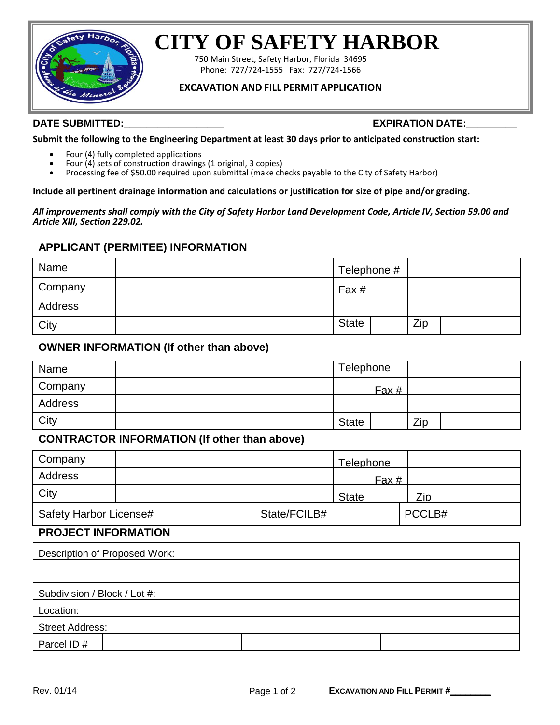

# **CITY OF SAFETY HARBOR**

750 Main Street, Safety Harbor, Florida 34695 Phone: 727/724-1555 Fax: 727/724-1566

# **EXCAVATION AND FILL PERMIT APPLICATION**

#### **DATE SUBMITTED:\_\_\_\_\_\_\_\_\_\_\_\_\_\_\_\_\_\_ EXPIRATION DATE:\_\_\_\_\_\_\_\_\_**

**Submit the following to the Engineering Department at least 30 days prior to anticipated construction start:**

- Four (4) fully completed applications
- Four (4) sets of construction drawings (1 original, 3 copies)
- Processing fee of \$50.00 required upon submittal (make checks payable to the City of Safety Harbor)

**Include all pertinent drainage information and calculations or justification for size of pipe and/or grading.** 

*All improvements shall comply with the City of Safety Harbor Land Development Code, Article IV, Section 59.00 and Article XIII, Section 229.02.*

### **APPLICANT (PERMITEE) INFORMATION**

| Name           | Telephone #  |     |
|----------------|--------------|-----|
| <b>Company</b> | Fax #        |     |
| Address        |              |     |
| City           | <b>State</b> | Zip |

# **OWNER INFORMATION (If other than above)**

| Name    | Telephone    |       |     |  |
|---------|--------------|-------|-----|--|
| Company |              | Fax # |     |  |
| Address |              |       |     |  |
| City    | <b>State</b> |       | Zip |  |

# **CONTRACTOR INFORMATION (If other than above)**

| Company                |  |              | Telephone    |        |
|------------------------|--|--------------|--------------|--------|
| Address                |  |              | Fax #        |        |
| <b>City</b>            |  |              | <b>State</b> | Zip    |
| Safety Harbor License# |  | State/FCILB# |              | PCCLB# |

# **PROJECT INFORMATION**

| Description of Proposed Work: |
|-------------------------------|
|                               |
|                               |
| Subdivision / Block / Lot #:  |
| Location:                     |
| <b>Street Address:</b>        |
| Parcel ID#                    |